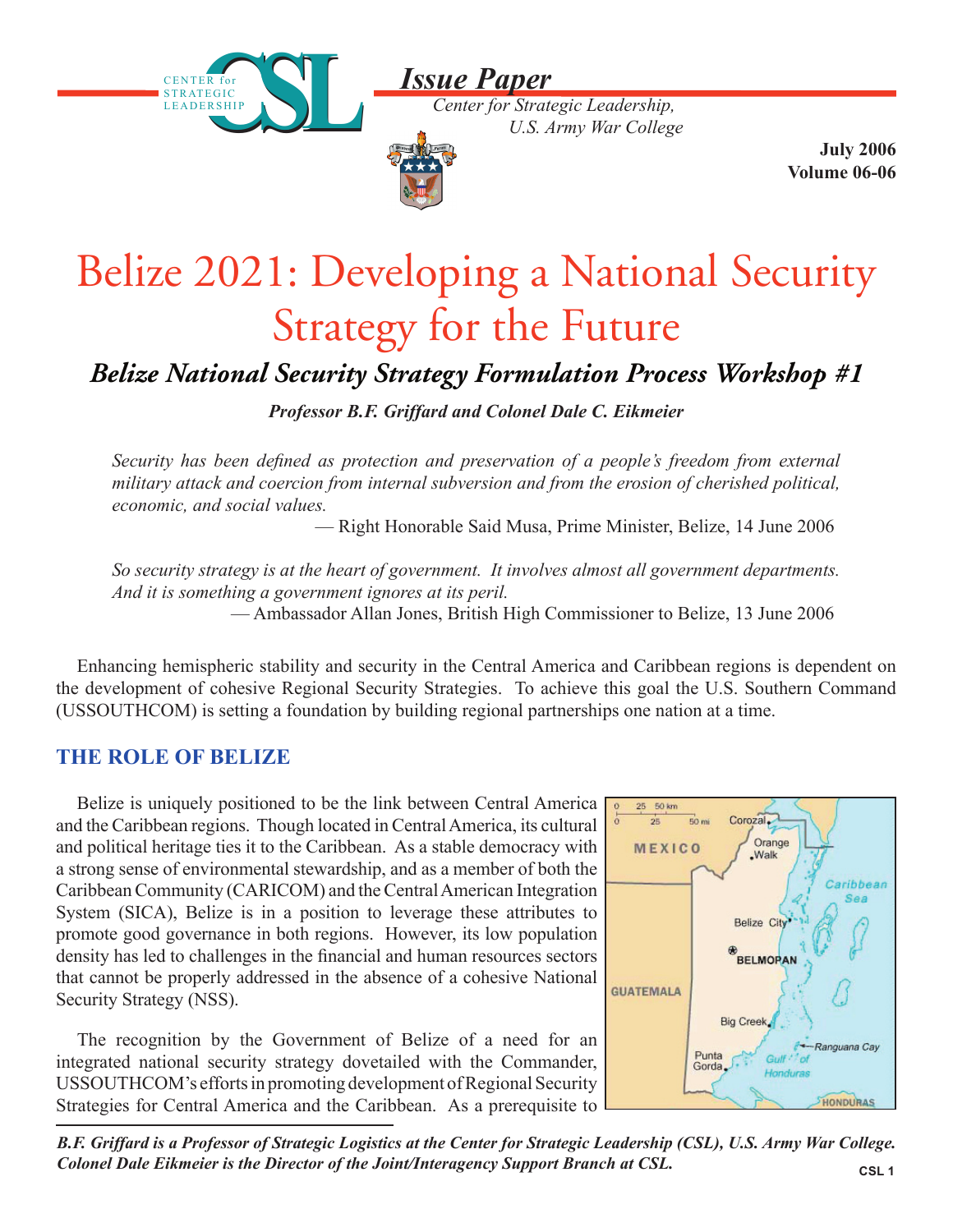*Issue Paper*





 **July 2006 Volume 06-06**

# Belize 2021: Developing a National Security Strategy for the Future

## *Belize National Security Strategy Formulation Process Workshop #1*

*Professor B.F. Griffard and Colonel Dale C. Eikmeier*

*Security has been defined as protection and preservation of a people's freedom from external military attack and coercion from internal subversion and from the erosion of cherished political, economic, and social values.*

— Right Honorable Said Musa, Prime Minister, Belize, 14 June 2006

*So security strategy is at the heart of government. It involves almost all government departments. And it is something a government ignores at its peril.* — Ambassador Allan Jones, British High Commissioner to Belize, 13 June 2006

Enhancing hemispheric stability and security in the Central America and Caribbean regions is dependent on the development of cohesive Regional Security Strategies. To achieve this goal the U.S. Southern Command (USSOUTHCOM) is setting a foundation by building regional partnerships one nation at a time.

#### **THE ROLE OF BELIZE**

Belize is uniquely positioned to be the link between Central America and the Caribbean regions. Though located in Central America, its cultural and political heritage ties it to the Caribbean. As a stable democracy with a strong sense of environmental stewardship, and as a member of both the Caribbean Community (CARICOM) and the Central American Integration System (SICA), Belize is in a position to leverage these attributes to promote good governance in both regions. However, its low population density has led to challenges in the financial and human resources sectors that cannot be properly addressed in the absence of a cohesive National Security Strategy (NSS).

The recognition by the Government of Belize of a need for an integrated national security strategy dovetailed with the Commander, USSOUTHCOM's efforts in promoting development of Regional Security Strategies for Central America and the Caribbean. As a prerequisite to



**CSL 1** *B.F. Griffard is a Professor of Strategic Logistics at the Center for Strategic Leadership (CSL), U.S. Army War College. Colonel Dale Eikmeier is the Director of the Joint/Interagency Support Branch at CSL.*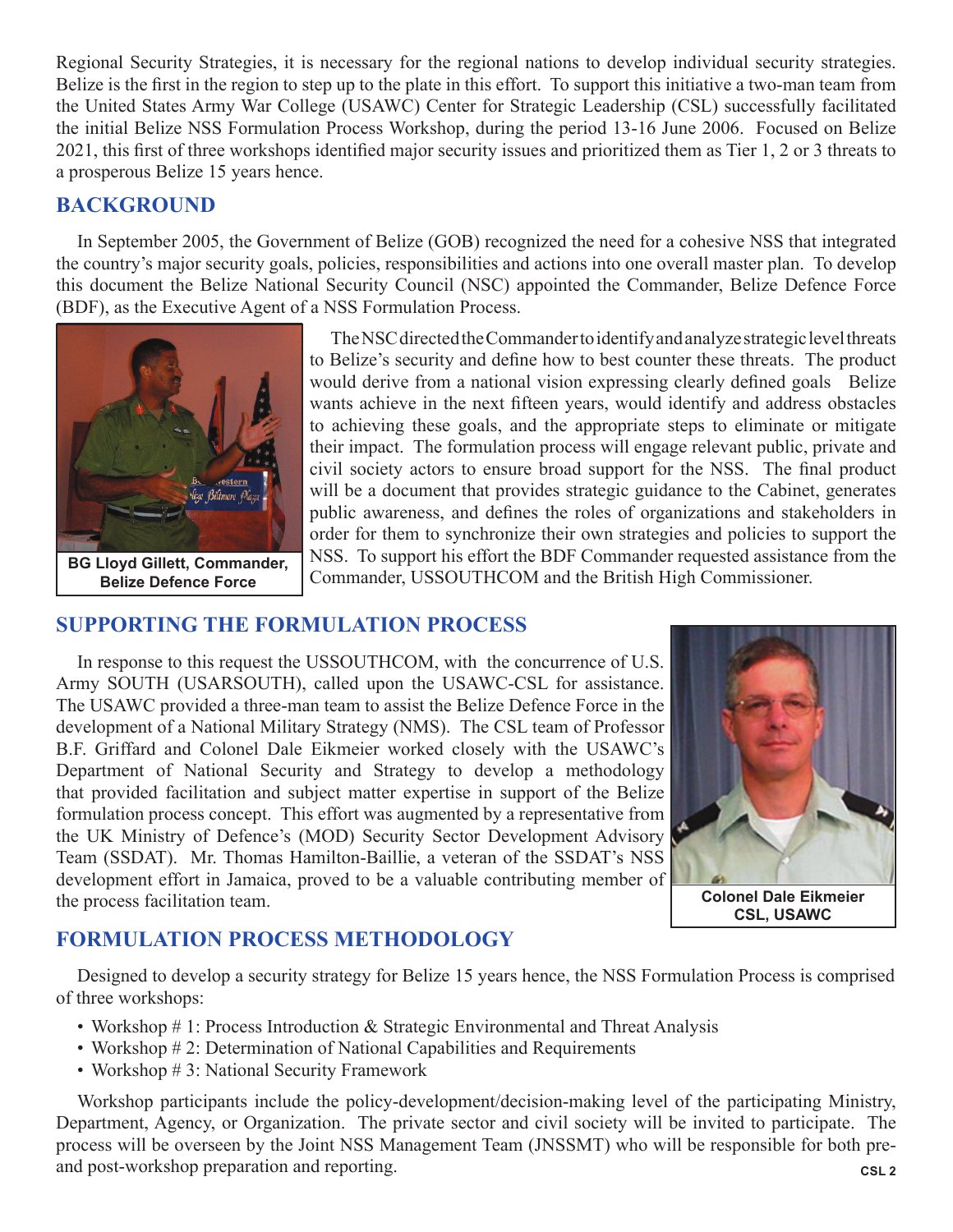Regional Security Strategies, it is necessary for the regional nations to develop individual security strategies. Belize is the first in the region to step up to the plate in this effort. To support this initiative a two-man team from the United States Army War College (USAWC) Center for Strategic Leadership (CSL) successfully facilitated the initial Belize NSS Formulation Process Workshop, during the period 13-16 June 2006. Focused on Belize 2021, this first of three workshops identified major security issues and prioritized them as Tier 1, 2 or 3 threats to a prosperous Belize 15 years hence.

#### **BACKGROUND**

In September 2005, the Government of Belize (GOB) recognized the need for a cohesive NSS that integrated the country's major security goals, policies, responsibilities and actions into one overall master plan. To develop this document the Belize National Security Council (NSC) appointed the Commander, Belize Defence Force (BDF), as the Executive Agent of a NSS Formulation Process.



The NSC directed the Commander to identify and analyze strategic level threats to Belize's security and define how to best counter these threats. The product would derive from a national vision expressing clearly defined goals Belize wants achieve in the next fifteen years, would identify and address obstacles to achieving these goals, and the appropriate steps to eliminate or mitigate their impact. The formulation process will engage relevant public, private and civil society actors to ensure broad support for the NSS. The final product will be a document that provides strategic guidance to the Cabinet, generates public awareness, and defines the roles of organizations and stakeholders in order for them to synchronize their own strategies and policies to support the NSS. To support his effort the BDF Commander requested assistance from the Commander, USSOUTHCOM and the British High Commissioner.

#### **SUPPORTING THE FORMULATION PROCESS**

In response to this request the USSOUTHCOM, with the concurrence of U.S. Army SOUTH (USARSOUTH), called upon the USAWC-CSL for assistance. The USAWC provided a three-man team to assist the Belize Defence Force in the development of a National Military Strategy (NMS). The CSL team of Professor B.F. Griffard and Colonel Dale Eikmeier worked closely with the USAWC's Department of National Security and Strategy to develop a methodology that provided facilitation and subject matter expertise in support of the Belize formulation process concept. This effort was augmented by a representative from the UK Ministry of Defence's (MOD) Security Sector Development Advisory Team (SSDAT). Mr. Thomas Hamilton-Baillie, a veteran of the SSDAT's NSS development effort in Jamaica, proved to be a valuable contributing member of the process facilitation team.



**CSL, USAWC**

#### **FORMULATION PROCESS METHODOLOGY**

Designed to develop a security strategy for Belize 15 years hence, the NSS Formulation Process is comprised of three workshops:

- Workshop # 1: Process Introduction & Strategic Environmental and Threat Analysis
- Workshop #2: Determination of National Capabilities and Requirements
- Workshop # 3: National Security Framework

**CSL 2** Workshop participants include the policy-development/decision-making level of the participating Ministry, Department, Agency, or Organization. The private sector and civil society will be invited to participate. The process will be overseen by the Joint NSS Management Team (JNSSMT) who will be responsible for both preand post-workshop preparation and reporting.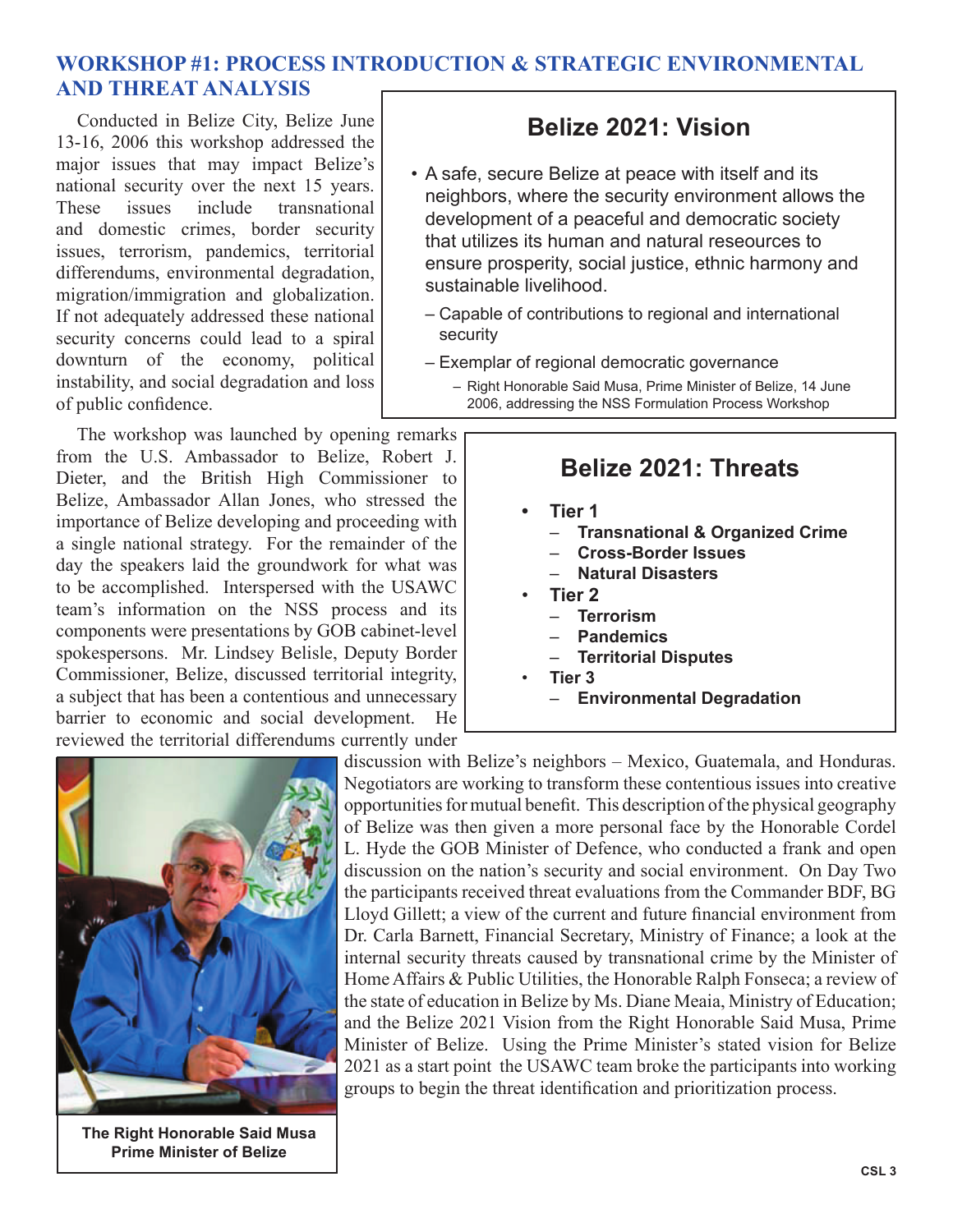#### **WORKSHOP #1: PROCESS INTRODUCTION & STRATEGIC ENVIRONMENTAL AND THREAT ANALYSIS**

Conducted in Belize City, Belize June 13-16, 2006 this workshop addressed the major issues that may impact Belize's national security over the next 15 years. These issues include transnational and domestic crimes, border security issues, terrorism, pandemics, territorial differendums, environmental degradation, migration/immigration and globalization. If not adequately addressed these national security concerns could lead to a spiral downturn of the economy, political instability, and social degradation and loss of public confidence.

The workshop was launched by opening remarks from the U.S. Ambassador to Belize, Robert J. Dieter, and the British High Commissioner to Belize, Ambassador Allan Jones, who stressed the importance of Belize developing and proceeding with a single national strategy. For the remainder of the day the speakers laid the groundwork for what was to be accomplished. Interspersed with the USAWC team's information on the NSS process and its components were presentations by GOB cabinet-level spokespersons. Mr. Lindsey Belisle, Deputy Border Commissioner, Belize, discussed territorial integrity, a subject that has been a contentious and unnecessary barrier to economic and social development. He reviewed the territorial differendums currently under

## **Belize 2021: Vision**

- A safe, secure Belize at peace with itself and its neighbors, where the security environment allows the development of a peaceful and democratic society that utilizes its human and natural reseources to ensure prosperity, social justice, ethnic harmony and sustainable livelihood.
	- Capable of contributions to regional and international security
	- Exemplar of regional democratic governance
		- Right Honorable Said Musa, Prime Minister of Belize, 14 June 2006, addressing the NSS Formulation Process Workshop

## **Belize 2021: Threats**

- **Tier 1 •**
	- **Transnational & Organized Crime** –
	- **Cross-Border Issues** –
	- **Natural Disasters** –
- **Tier 2** •
	- **Terrorism** –
	- **Pandemics** –
	- **Territorial Disputes** –
- **Tier 3** •
	- **Environmental Degradation** –



**The Right Honorable Said Musa Prime Minister of Belize**

discussion with Belize's neighbors – Mexico, Guatemala, and Honduras. Negotiators are working to transform these contentious issues into creative opportunities for mutual benefit. This description of the physical geography of Belize was then given a more personal face by the Honorable Cordel L. Hyde the GOB Minister of Defence, who conducted a frank and open discussion on the nation's security and social environment. On Day Two the participants received threat evaluations from the Commander BDF, BG Lloyd Gillett; a view of the current and future financial environment from Dr. Carla Barnett, Financial Secretary, Ministry of Finance; a look at the internal security threats caused by transnational crime by the Minister of Home Affairs & Public Utilities, the Honorable Ralph Fonseca; a review of the state of education in Belize by Ms. Diane Meaia, Ministry of Education; and the Belize 2021 Vision from the Right Honorable Said Musa, Prime Minister of Belize. Using the Prime Minister's stated vision for Belize 2021 as a start point the USAWC team broke the participants into working groups to begin the threat identification and prioritization process.